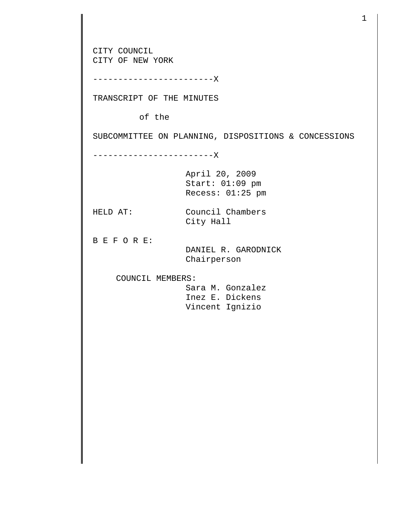CITY COUNCIL CITY OF NEW YORK ------------------------X TRANSCRIPT OF THE MINUTES of the SUBCOMMITTEE ON PLANNING, DISPOSITIONS & CONCESSIONS ------------------------X April 20, 2009 Start: 01:09 pm Recess: 01:25 pm HELD AT: Council Chambers City Hall B E F O R E: DANIEL R. GARODNICK Chairperson COUNCIL MEMBERS: Sara M. Gonzalez Inez E. Dickens Vincent Ignizio

1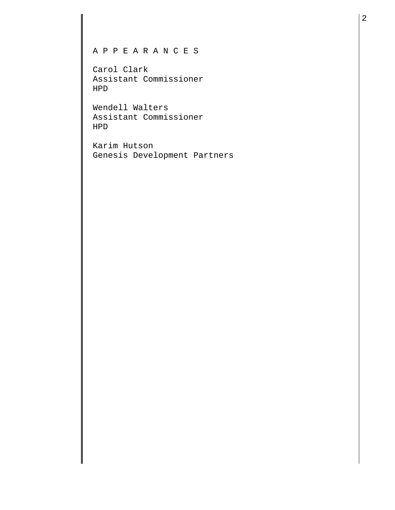## A P P E A R A N C E S

Carol Clark Assistant Commissioner HPD

Wendell Walters Assistant Commissioner HPD

Karim Hutson Genesis Development Partners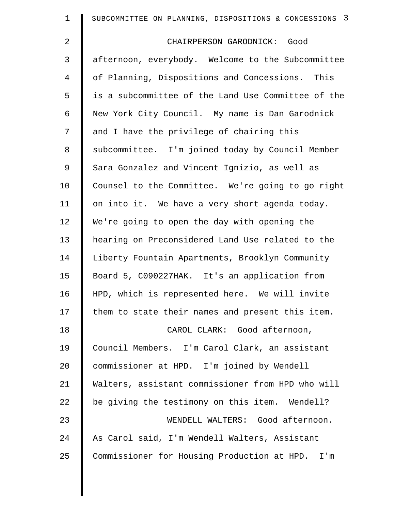| $\mathbf 1$ | SUBCOMMITTEE ON PLANNING, DISPOSITIONS & CONCESSIONS 3 |
|-------------|--------------------------------------------------------|
| 2           | CHAIRPERSON GARODNICK: Good                            |
| 3           | afternoon, everybody. Welcome to the Subcommittee      |
| 4           | of Planning, Dispositions and Concessions. This        |
| 5           | is a subcommittee of the Land Use Committee of the     |
| 6           | New York City Council. My name is Dan Garodnick        |
| 7           | and I have the privilege of chairing this              |
| 8           | subcommittee. I'm joined today by Council Member       |
| $\mathsf 9$ | Sara Gonzalez and Vincent Ignizio, as well as          |
| 10          | Counsel to the Committee. We're going to go right      |
| 11          | on into it. We have a very short agenda today.         |
| 12          | We're going to open the day with opening the           |
| 13          | hearing on Preconsidered Land Use related to the       |
| 14          | Liberty Fountain Apartments, Brooklyn Community        |
| 15          | Board 5, C090227HAK. It's an application from          |
| 16          | HPD, which is represented here. We will invite         |
| 17          | them to state their names and present this item.       |
| 18          | CAROL CLARK: Good afternoon,                           |
| 19          | Council Members. I'm Carol Clark, an assistant         |
| 20          | commissioner at HPD. I'm joined by Wendell             |
| 21          | Walters, assistant commissioner from HPD who will      |
| 22          | be giving the testimony on this item. Wendell?         |
| 23          | WENDELL WALTERS: Good afternoon.                       |
| 24          | As Carol said, I'm Wendell Walters, Assistant          |
| 25          | Commissioner for Housing Production at HPD. I'm        |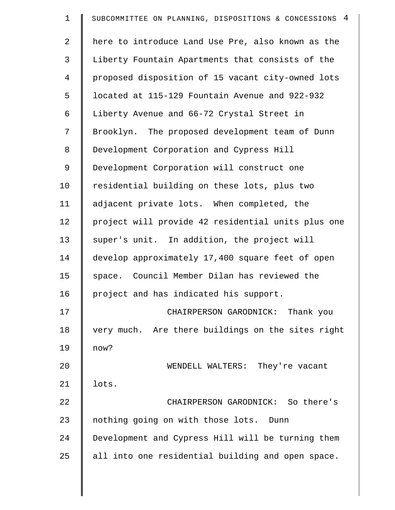| $\mathbf 1$    | SUBCOMMITTEE ON PLANNING, DISPOSITIONS & CONCESSIONS 4 |
|----------------|--------------------------------------------------------|
| $\overline{a}$ | here to introduce Land Use Pre, also known as the      |
| 3              | Liberty Fountain Apartments that consists of the       |
| $\overline{4}$ | proposed disposition of 15 vacant city-owned lots      |
| 5              | located at 115-129 Fountain Avenue and 922-932         |
| 6              | Liberty Avenue and 66-72 Crystal Street in             |
| 7              | Brooklyn. The proposed development team of Dunn        |
| 8              | Development Corporation and Cypress Hill               |
| 9              | Development Corporation will construct one             |
| 10             | residential building on these lots, plus two           |
| 11             | adjacent private lots. When completed, the             |
| 12             | project will provide 42 residential units plus one     |
| 13             | super's unit. In addition, the project will            |
| 14             | develop approximately 17,400 square feet of open       |
| 15             | space. Council Member Dilan has reviewed the           |
| 16             | project and has indicated his support.                 |
| 17             | CHAIRPERSON GARODNICK: Thank you                       |
| 18             | very much. Are there buildings on the sites right      |
| 19             | now?                                                   |
| 20             | WENDELL WALTERS: They're vacant                        |
| 21             | lots.                                                  |
| 22             | CHAIRPERSON GARODNICK: So there's                      |
| 23             | nothing going on with those lots. Dunn                 |
| 24             | Development and Cypress Hill will be turning them      |
| 25             | all into one residential building and open space.      |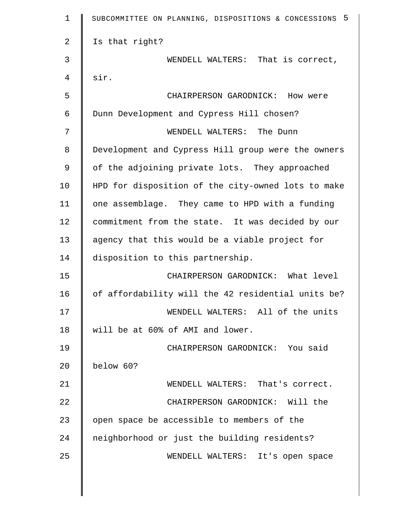| $\mathbf 1$ | SUBCOMMITTEE ON PLANNING, DISPOSITIONS & CONCESSIONS 5 |
|-------------|--------------------------------------------------------|
| 2           | Is that right?                                         |
| 3           | WENDELL WALTERS: That is correct,                      |
| 4           | sir.                                                   |
| 5           | CHAIRPERSON GARODNICK: How were                        |
| 6           | Dunn Development and Cypress Hill chosen?              |
| 7           | WENDELL WALTERS: The Dunn                              |
| 8           | Development and Cypress Hill group were the owners     |
| $\mathsf 9$ | of the adjoining private lots. They approached         |
| 10          | HPD for disposition of the city-owned lots to make     |
| 11          | one assemblage. They came to HPD with a funding        |
| 12          | commitment from the state. It was decided by our       |
| 13          | agency that this would be a viable project for         |
| 14          | disposition to this partnership.                       |
| 15          | CHAIRPERSON GARODNICK: What level                      |
| 16          | of affordability will the 42 residential units be?     |
| 17          | WENDELL WALTERS: All of the units                      |
| 18          | will be at 60% of AMI and lower.                       |
| 19          | CHAIRPERSON GARODNICK: You said                        |
| 20          | below 60?                                              |
| 21          | WENDELL WALTERS: That's correct.                       |
| 22          | CHAIRPERSON GARODNICK: Will the                        |
| 23          | open space be accessible to members of the             |
| 24          | neighborhood or just the building residents?           |
| 25          | WENDELL WALTERS: It's open space                       |
|             |                                                        |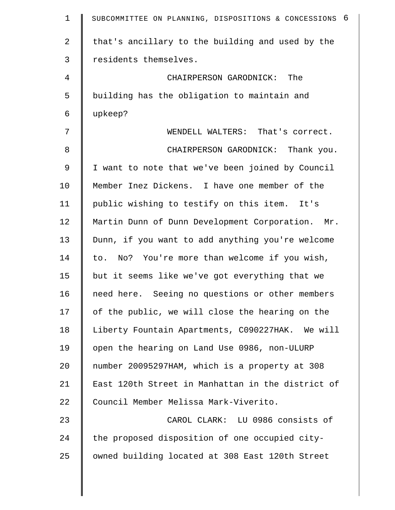| $\mathbf 1$    | SUBCOMMITTEE ON PLANNING, DISPOSITIONS & CONCESSIONS 6 |
|----------------|--------------------------------------------------------|
| $\overline{a}$ | that's ancillary to the building and used by the       |
| 3              | residents themselves.                                  |
| 4              | CHAIRPERSON GARODNICK: The                             |
| 5              | building has the obligation to maintain and            |
| 6              | upkeep?                                                |
| 7              | WENDELL WALTERS: That's correct.                       |
| 8              | CHAIRPERSON GARODNICK: Thank you.                      |
| 9              | I want to note that we've been joined by Council       |
| 10             | Member Inez Dickens. I have one member of the          |
| 11             | public wishing to testify on this item. It's           |
| 12             | Martin Dunn of Dunn Development Corporation. Mr.       |
| 13             | Dunn, if you want to add anything you're welcome       |
| 14             | to. No? You're more than welcome if you wish,          |
| 15             | but it seems like we've got everything that we         |
| 16             | need here. Seeing no questions or other members        |
| 17             | of the public, we will close the hearing on the        |
| 18             | Liberty Fountain Apartments, C090227HAK. We will       |
| 19             | open the hearing on Land Use 0986, non-ULURP           |
| 20             | number 20095297HAM, which is a property at 308         |
| 21             | East 120th Street in Manhattan in the district of      |
| 22             | Council Member Melissa Mark-Viverito.                  |
| 23             | CAROL CLARK: LU 0986 consists of                       |
| 24             | the proposed disposition of one occupied city-         |
| 25             | owned building located at 308 East 120th Street        |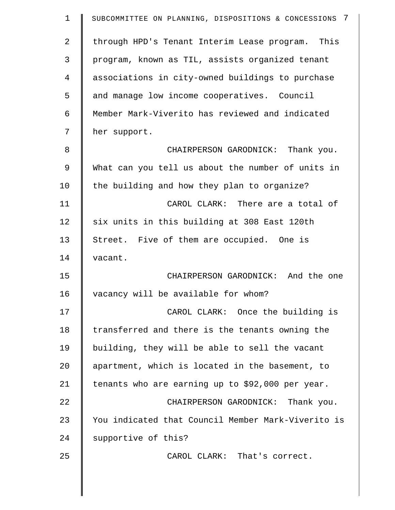| $\mathbf 1$    | SUBCOMMITTEE ON PLANNING, DISPOSITIONS & CONCESSIONS 7 |
|----------------|--------------------------------------------------------|
| $\overline{a}$ | through HPD's Tenant Interim Lease program. This       |
| 3              | program, known as TIL, assists organized tenant        |
| 4              | associations in city-owned buildings to purchase       |
| 5              | and manage low income cooperatives. Council            |
| 6              | Member Mark-Viverito has reviewed and indicated        |
| 7              | her support.                                           |
| 8              | CHAIRPERSON GARODNICK: Thank you.                      |
| 9              | What can you tell us about the number of units in      |
| 10             | the building and how they plan to organize?            |
| 11             | CAROL CLARK: There are a total of                      |
| 12             | six units in this building at 308 East 120th           |
| 13             | Street. Five of them are occupied. One is              |
| 14             | vacant.                                                |
| 15             | CHAIRPERSON GARODNICK: And the one                     |
| 16             | vacancy will be available for whom?                    |
| 17             | CAROL CLARK: Once the building is                      |
| 18             | transferred and there is the tenants owning the        |
| 19             | building, they will be able to sell the vacant         |
| 20             | apartment, which is located in the basement, to        |
| 21             | tenants who are earning up to \$92,000 per year.       |
| 22             | CHAIRPERSON GARODNICK: Thank you.                      |
| 23             | You indicated that Council Member Mark-Viverito is     |
| 24             | supportive of this?                                    |
| 25             | CAROL CLARK: That's correct.                           |
|                |                                                        |

 $\parallel$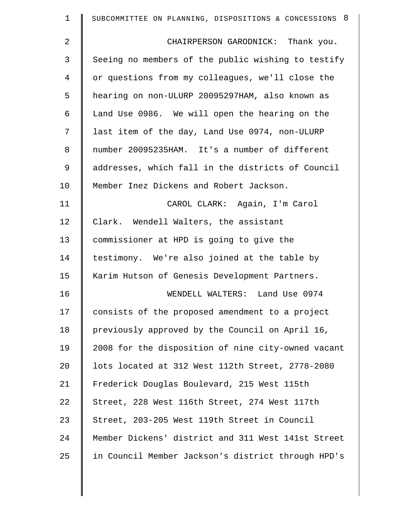| 1           | SUBCOMMITTEE ON PLANNING, DISPOSITIONS & CONCESSIONS 8 |
|-------------|--------------------------------------------------------|
| 2           | CHAIRPERSON GARODNICK: Thank you.                      |
| 3           | Seeing no members of the public wishing to testify     |
| 4           | or questions from my colleagues, we'll close the       |
| 5           | hearing on non-ULURP 20095297HAM, also known as        |
| 6           | Land Use 0986. We will open the hearing on the         |
| 7           | last item of the day, Land Use 0974, non-ULURP         |
| 8           | number 20095235HAM. It's a number of different         |
| $\mathsf 9$ | addresses, which fall in the districts of Council      |
| 10          | Member Inez Dickens and Robert Jackson.                |
| 11          | CAROL CLARK: Again, I'm Carol                          |
| 12          | Clark. Wendell Walters, the assistant                  |
| 13          | commissioner at HPD is going to give the               |
| 14          | testimony. We're also joined at the table by           |
| 15          | Karim Hutson of Genesis Development Partners.          |
| 16          | WENDELL WALTERS: Land Use 0974                         |
| 17          | consists of the proposed amendment to a project        |
| 18          | previously approved by the Council on April 16,        |
| 19          | 2008 for the disposition of nine city-owned vacant     |
| 20          | lots located at 312 West 112th Street, 2778-2080       |
| 21          | Frederick Douglas Boulevard, 215 West 115th            |
| 22          | Street, 228 West 116th Street, 274 West 117th          |
| 23          | Street, 203-205 West 119th Street in Council           |
| 24          | Member Dickens' district and 311 West 141st Street     |
| 25          | in Council Member Jackson's district through HPD's     |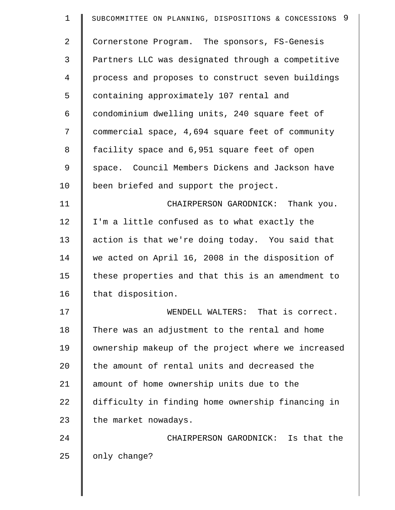| $\mathbf 1$    | SUBCOMMITTEE ON PLANNING, DISPOSITIONS & CONCESSIONS 9 |
|----------------|--------------------------------------------------------|
| $\overline{2}$ | Cornerstone Program. The sponsors, FS-Genesis          |
| 3              | Partners LLC was designated through a competitive      |
| 4              | process and proposes to construct seven buildings      |
| 5              | containing approximately 107 rental and                |
| 6              | condominium dwelling units, 240 square feet of         |
| 7              | commercial space, 4,694 square feet of community       |
| 8              | facility space and 6,951 square feet of open           |
| 9              | space. Council Members Dickens and Jackson have        |
| 10             | been briefed and support the project.                  |
| 11             | CHAIRPERSON GARODNICK: Thank you.                      |
| 12             | I'm a little confused as to what exactly the           |
| 13             | action is that we're doing today. You said that        |
| 14             | we acted on April 16, 2008 in the disposition of       |
| 15             | these properties and that this is an amendment to      |
| 16             | that disposition.                                      |
| 17             | WENDELL WALTERS: That is correct.                      |
| 18             | There was an adjustment to the rental and home         |
| 19             | ownership makeup of the project where we increased     |
| 20             | the amount of rental units and decreased the           |
| 21             | amount of home ownership units due to the              |
| 22             | difficulty in finding home ownership financing in      |
| 23             | the market nowadays.                                   |
| 24             | CHAIRPERSON GARODNICK: Is that the                     |
| 25             | only change?                                           |
|                |                                                        |

 $\parallel$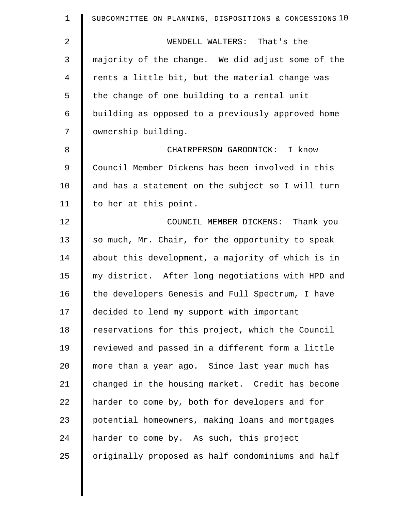| $\mathbf 1$    | SUBCOMMITTEE ON PLANNING, DISPOSITIONS & CONCESSIONS 10 |
|----------------|---------------------------------------------------------|
| $\overline{2}$ | WENDELL WALTERS: That's the                             |
| 3              | majority of the change. We did adjust some of the       |
| 4              | rents a little bit, but the material change was         |
| 5              | the change of one building to a rental unit             |
| 6              | building as opposed to a previously approved home       |
| 7              | ownership building.                                     |
| 8              | CHAIRPERSON GARODNICK: I know                           |
| $\mathsf 9$    | Council Member Dickens has been involved in this        |
| 10             | and has a statement on the subject so I will turn       |
| 11             | to her at this point.                                   |
| 12             | COUNCIL MEMBER DICKENS: Thank you                       |
| 13             | so much, Mr. Chair, for the opportunity to speak        |
| 14             | about this development, a majority of which is in       |
| 15             | my district. After long negotiations with HPD and       |
| 16             | the developers Genesis and Full Spectrum, I have        |
| 17             | decided to lend my support with important               |
| 18             | reservations for this project, which the Council        |
| 19             | reviewed and passed in a different form a little        |
| 20             | more than a year ago. Since last year much has          |
| 21             | changed in the housing market. Credit has become        |
| 22             | harder to come by, both for developers and for          |
| 23             | potential homeowners, making loans and mortgages        |
| 24             | harder to come by. As such, this project                |
| 25             | originally proposed as half condominiums and half       |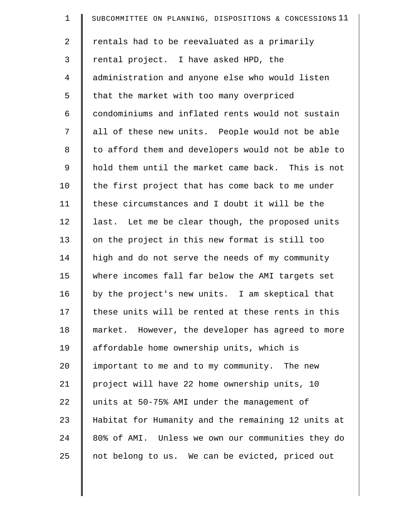| $\mathbf 1$    | SUBCOMMITTEE ON PLANNING, DISPOSITIONS & CONCESSIONS 11 |
|----------------|---------------------------------------------------------|
| $\overline{2}$ | rentals had to be reevaluated as a primarily            |
| 3              | rental project. I have asked HPD, the                   |
| 4              | administration and anyone else who would listen         |
| 5              | that the market with too many overpriced                |
| 6              | condominiums and inflated rents would not sustain       |
| 7              | all of these new units. People would not be able        |
| 8              | to afford them and developers would not be able to      |
| 9              | hold them until the market came back. This is not       |
| 10             | the first project that has come back to me under        |
| 11             | these circumstances and I doubt it will be the          |
| 12             | last. Let me be clear though, the proposed units        |
| 13             | on the project in this new format is still too          |
| 14             | high and do not serve the needs of my community         |
| 15             | where incomes fall far below the AMI targets set        |
| 16             | by the project's new units. I am skeptical that         |
| 17             | these units will be rented at these rents in this       |
| 18             | market. However, the developer has agreed to more       |
| 19             | affordable home ownership units, which is               |
| 20             | important to me and to my community. The new            |
| 21             | project will have 22 home ownership units, 10           |
| 22             | units at 50-75% AMI under the management of             |
| 23             | Habitat for Humanity and the remaining 12 units at      |
| 24             | 80% of AMI. Unless we own our communities they do       |
| 25             | not belong to us. We can be evicted, priced out         |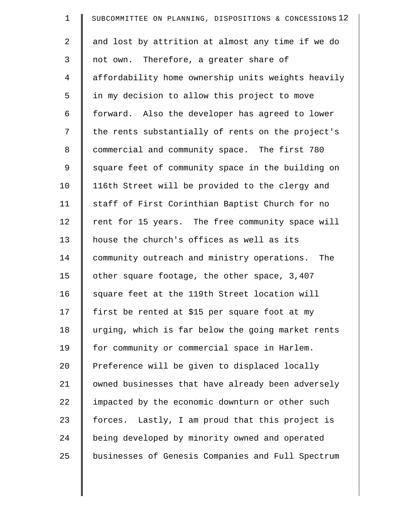| $\mathbf 1$ | SUBCOMMITTEE ON PLANNING, DISPOSITIONS & CONCESSIONS 12 |
|-------------|---------------------------------------------------------|
| 2           | and lost by attrition at almost any time if we do       |
| 3           | not own. Therefore, a greater share of                  |
| 4           | affordability home ownership units weights heavily      |
| 5           | in my decision to allow this project to move            |
| 6           | forward. Also the developer has agreed to lower         |
| 7           | the rents substantially of rents on the project's       |
| 8           | commercial and community space. The first 780           |
| 9           | square feet of community space in the building on       |
| 10          | 116th Street will be provided to the clergy and         |
| 11          | staff of First Corinthian Baptist Church for no         |
| 12          | rent for 15 years. The free community space will        |
| 13          | house the church's offices as well as its               |
| 14          | community outreach and ministry operations. The         |
| 15          | other square footage, the other space, 3,407            |
| 16          | square feet at the 119th Street location will           |
| 17          | first be rented at \$15 per square foot at my           |
| 18          | urging, which is far below the going market rents       |
| 19          | for community or commercial space in Harlem.            |
| 20          | Preference will be given to displaced locally           |
| 21          | owned businesses that have already been adversely       |
| 22          | impacted by the economic downturn or other such         |
| 23          | forces. Lastly, I am proud that this project is         |
| 24          | being developed by minority owned and operated          |
| 25          | businesses of Genesis Companies and Full Spectrum       |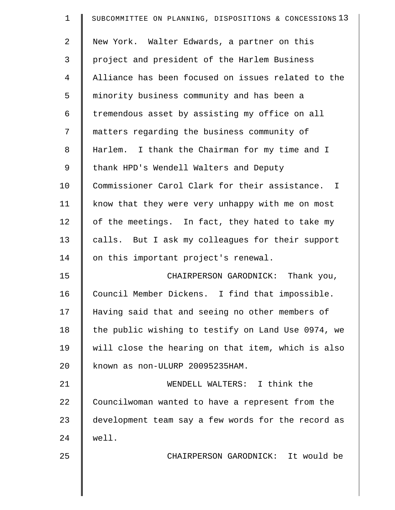| 1              | SUBCOMMITTEE ON PLANNING, DISPOSITIONS & CONCESSIONS 13 |
|----------------|---------------------------------------------------------|
| $\overline{2}$ | New York. Walter Edwards, a partner on this             |
| 3              | project and president of the Harlem Business            |
| 4              | Alliance has been focused on issues related to the      |
| 5              | minority business community and has been a              |
| 6              | tremendous asset by assisting my office on all          |
| 7              | matters regarding the business community of             |
| 8              | Harlem. I thank the Chairman for my time and I          |
| 9              | thank HPD's Wendell Walters and Deputy                  |
| 10             | Commissioner Carol Clark for their assistance. I        |
| 11             | know that they were very unhappy with me on most        |
| 12             | of the meetings. In fact, they hated to take my         |
| 13             | calls. But I ask my colleagues for their support        |
| 14             | on this important project's renewal.                    |
| 15             | CHAIRPERSON GARODNICK: Thank you,                       |
| 16             | Council Member Dickens. I find that impossible.         |
| 17             | Having said that and seeing no other members of         |
| 18             | the public wishing to testify on Land Use 0974, we      |
| 19             | will close the hearing on that item, which is also      |
| 20             | known as non-ULURP 20095235HAM.                         |
| 21             | WENDELL WALTERS: I think the                            |
| 22             | Councilwoman wanted to have a represent from the        |
| 23             | development team say a few words for the record as      |
| 24             | well.                                                   |
| 25             | CHAIRPERSON GARODNICK: It would be                      |
|                |                                                         |
|                |                                                         |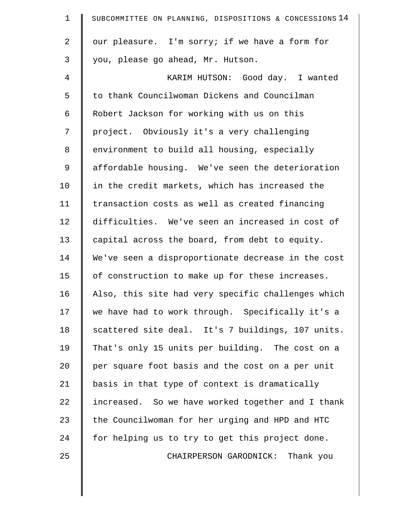| $\mathbf 1$    | SUBCOMMITTEE ON PLANNING, DISPOSITIONS & CONCESSIONS 14 |
|----------------|---------------------------------------------------------|
| 2              | our pleasure. I'm sorry; if we have a form for          |
| 3              | you, please go ahead, Mr. Hutson.                       |
| $\overline{4}$ | KARIM HUTSON: Good day. I wanted                        |
| 5              | to thank Councilwoman Dickens and Councilman            |
| 6              | Robert Jackson for working with us on this              |
| 7              | project. Obviously it's a very challenging              |
| 8              | environment to build all housing, especially            |
| 9              | affordable housing. We've seen the deterioration        |
| 10             | in the credit markets, which has increased the          |
| 11             | transaction costs as well as created financing          |
| 12             | difficulties. We've seen an increased in cost of        |
| 13             | capital across the board, from debt to equity.          |
| 14             | We've seen a disproportionate decrease in the cost      |
| 15             | of construction to make up for these increases.         |
| 16             | Also, this site had very specific challenges which      |
| 17             | we have had to work through. Specifically it's a        |
| 18             | scattered site deal. It's 7 buildings, 107 units.       |
| 19             | That's only 15 units per building. The cost on a        |
| 20             | per square foot basis and the cost on a per unit        |
| 21             | basis in that type of context is dramatically           |
| 22             | increased. So we have worked together and I thank       |
| 23             | the Councilwoman for her urging and HPD and HTC         |
| 24             | for helping us to try to get this project done.         |
| 25             | CHAIRPERSON GARODNICK: Thank you                        |
|                |                                                         |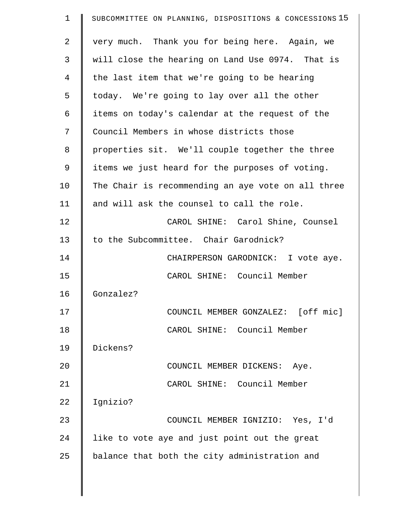| $\mathbf 1$    | SUBCOMMITTEE ON PLANNING, DISPOSITIONS & CONCESSIONS 15 |
|----------------|---------------------------------------------------------|
| $\overline{2}$ | very much. Thank you for being here. Again, we          |
| 3              | will close the hearing on Land Use 0974. That is        |
| $\overline{4}$ | the last item that we're going to be hearing            |
| 5              | today. We're going to lay over all the other            |
| 6              | items on today's calendar at the request of the         |
| 7              | Council Members in whose districts those                |
| 8              | properties sit. We'll couple together the three         |
| 9              | items we just heard for the purposes of voting.         |
| 10             | The Chair is recommending an aye vote on all three      |
| 11             | and will ask the counsel to call the role.              |
| 12             | CAROL SHINE: Carol Shine, Counsel                       |
| 13             | to the Subcommittee. Chair Garodnick?                   |
| 14             | CHAIRPERSON GARODNICK: I vote aye.                      |
| 15             | CAROL SHINE: Council Member                             |
| 16             | Gonzalez?                                               |
| 17             | COUNCIL MEMBER GONZALEZ: [off mic]                      |
| 18             | CAROL SHINE: Council Member                             |
| 19             | Dickens?                                                |
| 20             | COUNCIL MEMBER DICKENS: Aye.                            |
| 21             | CAROL SHINE: Council Member                             |
| 22             | Ignizio?                                                |
| 23             | COUNCIL MEMBER IGNIZIO: Yes, I'd                        |
| 24             | like to vote aye and just point out the great           |
| 25             | balance that both the city administration and           |
|                |                                                         |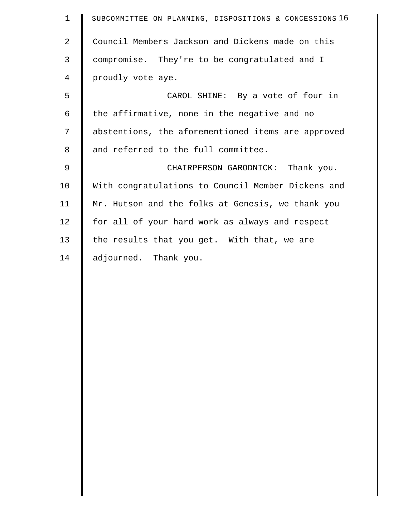| $\mathbf 1$ | SUBCOMMITTEE ON PLANNING, DISPOSITIONS & CONCESSIONS 16 |
|-------------|---------------------------------------------------------|
| 2           | Council Members Jackson and Dickens made on this        |
| 3           | compromise. They're to be congratulated and I           |
| 4           | proudly vote aye.                                       |
| 5           | CAROL SHINE: By a vote of four in                       |
| 6           | the affirmative, none in the negative and no            |
| 7           | abstentions, the aforementioned items are approved      |
| 8           | and referred to the full committee.                     |
| $\mathsf 9$ | CHAIRPERSON GARODNICK: Thank you.                       |
| 10          | With congratulations to Council Member Dickens and      |
| 11          | Mr. Hutson and the folks at Genesis, we thank you       |
| 12          | for all of your hard work as always and respect         |
| 13          | the results that you get. With that, we are             |
| 14          | adjourned. Thank you.                                   |
|             |                                                         |
|             |                                                         |
|             |                                                         |
|             |                                                         |
|             |                                                         |
|             |                                                         |
|             |                                                         |
|             |                                                         |
|             |                                                         |